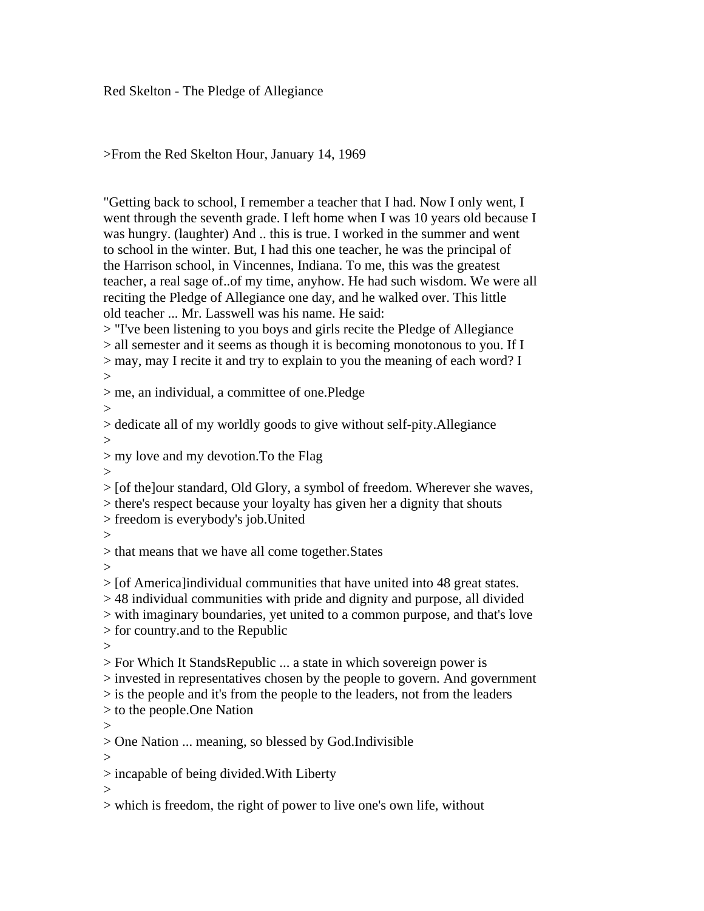Red Skelton - The Pledge of Allegiance

## >From the Red Skelton Hour, January 14, 1969

"Getting back to school, I remember a teacher that I had. Now I only went, I went through the seventh grade. I left home when I was 10 years old because I was hungry. (laughter) And .. this is true. I worked in the summer and went to school in the winter. But, I had this one teacher, he was the principal of the Harrison school, in Vincennes, Indiana. To me, this was the greatest teacher, a real sage of..of my time, anyhow. He had such wisdom. We were all reciting the Pledge of Allegiance one day, and he walked over. This little old teacher ... Mr. Lasswell was his name. He said:

> "I've been listening to you boys and girls recite the Pledge of Allegiance > all semester and it seems as though it is becoming monotonous to you. If I > may, may I recite it and try to explain to you the meaning of each word? I >

> me, an individual, a committee of one.Pledge

 $>$ 

> dedicate all of my worldly goods to give without self-pity.Allegiance  $\geq$ 

> my love and my devotion.To the Flag

 $\geq$ 

> [of the]our standard, Old Glory, a symbol of freedom. Wherever she waves,

> there's respect because your loyalty has given her a dignity that shouts

> freedom is everybody's job.United

>

> that means that we have all come together.States

 $\geq$ 

> [of America]individual communities that have united into 48 great states.

> 48 individual communities with pride and dignity and purpose, all divided

> with imaginary boundaries, yet united to a common purpose, and that's love

> for country.and to the Republic

 $>$ 

> For Which It StandsRepublic ... a state in which sovereign power is

> invested in representatives chosen by the people to govern. And government

> is the people and it's from the people to the leaders, not from the leaders

> to the people.One Nation

 $>$ 

> One Nation ... meaning, so blessed by God.Indivisible

 $\rightarrow$ 

> incapable of being divided.With Liberty

>

> which is freedom, the right of power to live one's own life, without